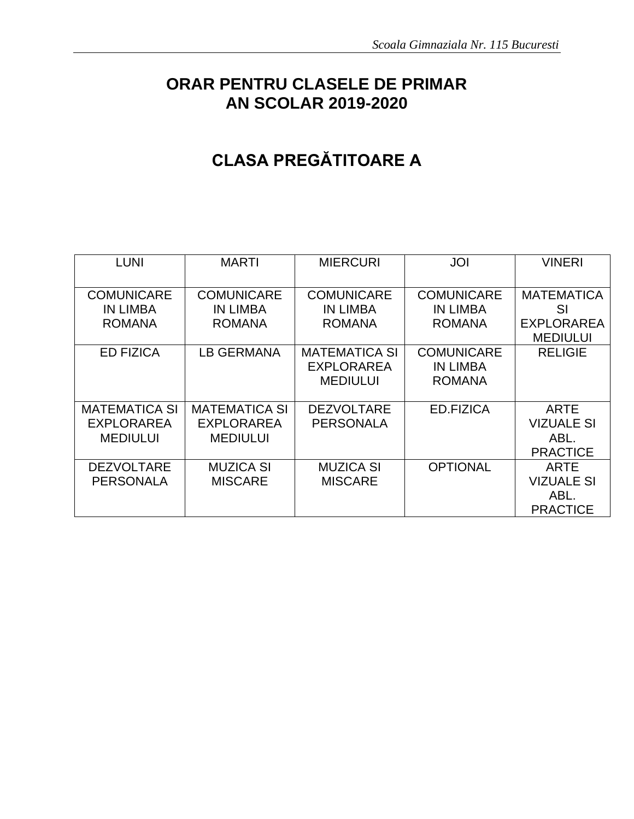### **ORAR PENTRU CLASELE DE PRIMAR AN SCOLAR 2019-2020**

## **CLASA PREGĂTITOARE A**

| <b>LUNI</b>                                                  | <b>MARTI</b>                                                 | <b>MIERCURI</b>                                              | <b>JOI</b>                                            | <b>VINERI</b>                                                   |
|--------------------------------------------------------------|--------------------------------------------------------------|--------------------------------------------------------------|-------------------------------------------------------|-----------------------------------------------------------------|
| <b>COMUNICARE</b><br><b>IN LIMBA</b><br><b>ROMANA</b>        | <b>COMUNICARE</b><br><b>IN LIMBA</b><br><b>ROMANA</b>        | <b>COMUNICARE</b><br><b>IN LIMBA</b><br><b>ROMANA</b>        | <b>COMUNICARE</b><br><b>IN LIMBA</b><br><b>ROMANA</b> | <b>MATEMATICA</b><br>SI<br><b>EXPLORAREA</b><br><b>MEDIULUI</b> |
| <b>ED FIZICA</b>                                             | <b>LB GERMANA</b>                                            | <b>MATEMATICA SI</b><br><b>EXPLORAREA</b><br><b>MEDIULUI</b> | <b>COMUNICARE</b><br><b>IN LIMBA</b><br><b>ROMANA</b> | <b>RELIGIE</b>                                                  |
| <b>MATEMATICA SI</b><br><b>EXPLORAREA</b><br><b>MEDIULUI</b> | <b>MATEMATICA SI</b><br><b>EXPLORAREA</b><br><b>MEDIULUI</b> | <b>DEZVOLTARE</b><br><b>PERSONALA</b>                        | ED.FIZICA                                             | <b>ARTE</b><br><b>VIZUALE SI</b><br>ABL.<br><b>PRACTICE</b>     |
| <b>DEZVOLTARE</b><br><b>PERSONALA</b>                        | <b>MUZICA SI</b><br><b>MISCARE</b>                           | MUZICA SI<br><b>MISCARE</b>                                  | <b>OPTIONAL</b>                                       | <b>ARTE</b><br><b>VIZUALE SI</b><br>ABL.<br><b>PRACTICE</b>     |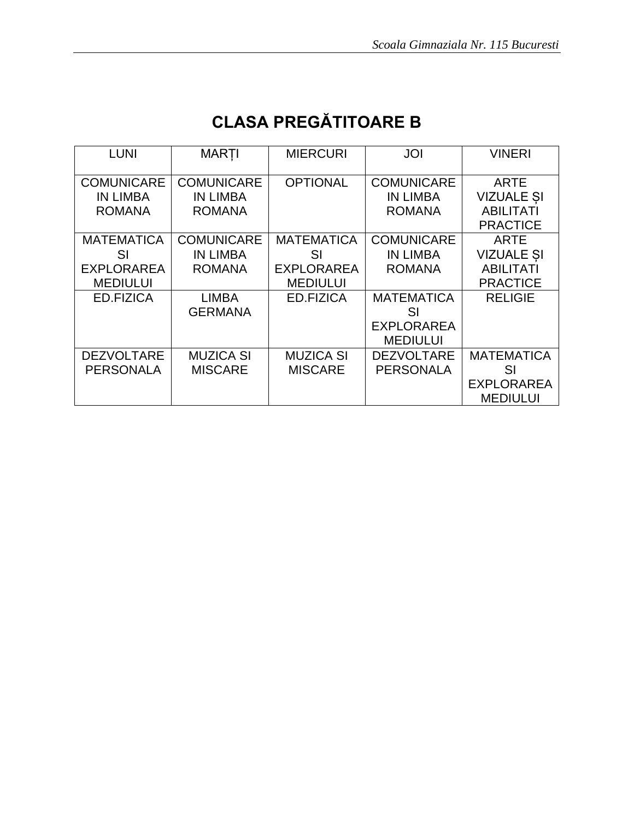# **CLASA PREGĂTITOARE B**

| <b>LUNI</b>       | <b>MARTI</b>      | <b>MIERCURI</b>   | <b>JOI</b>        | <b>VINERI</b>     |
|-------------------|-------------------|-------------------|-------------------|-------------------|
| <b>COMUNICARE</b> | <b>COMUNICARE</b> | <b>OPTIONAL</b>   | <b>COMUNICARE</b> | <b>ARTE</b>       |
| <b>IN LIMBA</b>   | <b>IN LIMBA</b>   |                   | <b>IN LIMBA</b>   | <b>VIZUALE SI</b> |
| <b>ROMANA</b>     | <b>ROMANA</b>     |                   | <b>ROMANA</b>     | <b>ABILITATI</b>  |
|                   |                   |                   |                   | <b>PRACTICE</b>   |
| <b>MATEMATICA</b> | <b>COMUNICARE</b> | <b>MATEMATICA</b> | <b>COMUNICARE</b> | <b>ARTE</b>       |
| SI                | <b>IN LIMBA</b>   | SI                | <b>IN LIMBA</b>   | <b>VIZUALE SI</b> |
| <b>EXPLORAREA</b> | <b>ROMANA</b>     | <b>EXPLORAREA</b> | <b>ROMANA</b>     | <b>ABILITATI</b>  |
| <b>MEDIULUI</b>   |                   | <b>MEDIULUI</b>   |                   | <b>PRACTICE</b>   |
| ED.FIZICA         | <b>LIMBA</b>      | ED.FIZICA         | <b>MATEMATICA</b> | <b>RELIGIE</b>    |
|                   | <b>GERMANA</b>    |                   | SI                |                   |
|                   |                   |                   | <b>EXPLORAREA</b> |                   |
|                   |                   |                   | <b>MEDIULUI</b>   |                   |
| <b>DEZVOLTARE</b> | <b>MUZICA SI</b>  | <b>MUZICA SI</b>  | <b>DEZVOLTARE</b> | <b>MATEMATICA</b> |
| <b>PERSONALA</b>  | <b>MISCARE</b>    | <b>MISCARE</b>    | <b>PERSONALA</b>  | SI                |
|                   |                   |                   |                   | <b>EXPLORAREA</b> |
|                   |                   |                   |                   | <b>MEDIULUI</b>   |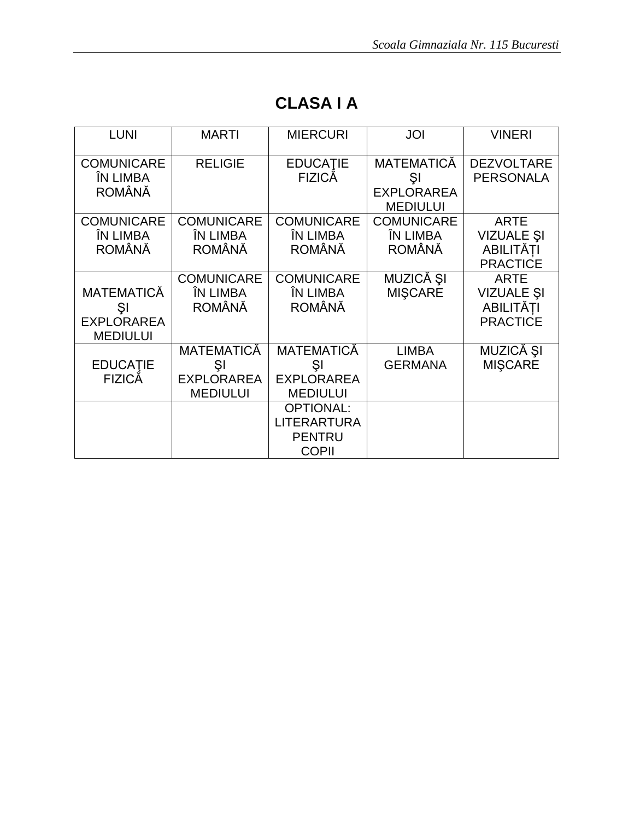| <b>LUNI</b>                                                     | <b>MARTI</b>                                             | <b>MIERCURI</b>                                                         | JOI                                            | <b>VINERI</b>                                                           |
|-----------------------------------------------------------------|----------------------------------------------------------|-------------------------------------------------------------------------|------------------------------------------------|-------------------------------------------------------------------------|
| <b>COMUNICARE</b><br>ÎN LIMBA                                   | <b>RELIGIE</b>                                           | <b>EDUCATIE</b><br>FIZICĂ                                               | <b>MATEMATICĂ</b><br>ŞI                        | <b>DEZVOLTARE</b><br><b>PERSONALA</b>                                   |
| <b>ROMÂNĂ</b>                                                   |                                                          |                                                                         | <b>EXPLORAREA</b><br><b>MEDIULUI</b>           |                                                                         |
| <b>COMUNICARE</b><br>ÎN LIMBA<br><b>ROMÂNĂ</b>                  | <b>COMUNICARE</b><br>ÎN LIMBA<br><b>ROMÂNĂ</b>           | <b>COMUNICARE</b><br>ÎN LIMBA<br><b>ROMÂNĂ</b>                          | <b>COMUNICARE</b><br>ÎN LIMBA<br><b>ROMÂNĂ</b> | <b>ARTE</b><br><b>VIZUALE ȘI</b><br><b>ABILITĂTI</b><br><b>PRACTICE</b> |
| <b>MATEMATICĂ</b><br>ŞI<br><b>EXPLORAREA</b><br><b>MEDIULUI</b> | <b>COMUNICARE</b><br>ÎN LIMBA<br><b>ROMÂNĂ</b>           | <b>COMUNICARE</b><br>ÎN LIMBA<br><b>ROMÂNĂ</b>                          | MUZICĂ ȘI<br><b>MISCARE</b>                    | <b>ARTE</b><br><b>VIZUALE ȘI</b><br><b>ABILITĂȚI</b><br><b>PRACTICE</b> |
| <b>EDUCATIE</b><br><b>FIZICĂ</b>                                | MATEMATICĂ<br>ŞI<br><b>EXPLORAREA</b><br><b>MEDIULUI</b> | <b>MATEMATICĂ</b><br>ŞI<br><b>EXPLORAREA</b><br><b>MEDIULUI</b>         | <b>LIMBA</b><br><b>GERMANA</b>                 | MUZICĂ ȘI<br><b>MIŞCARE</b>                                             |
|                                                                 |                                                          | <b>OPTIONAL:</b><br><b>LITERARTURA</b><br><b>PENTRU</b><br><b>COPII</b> |                                                |                                                                         |

## **CLASA I A**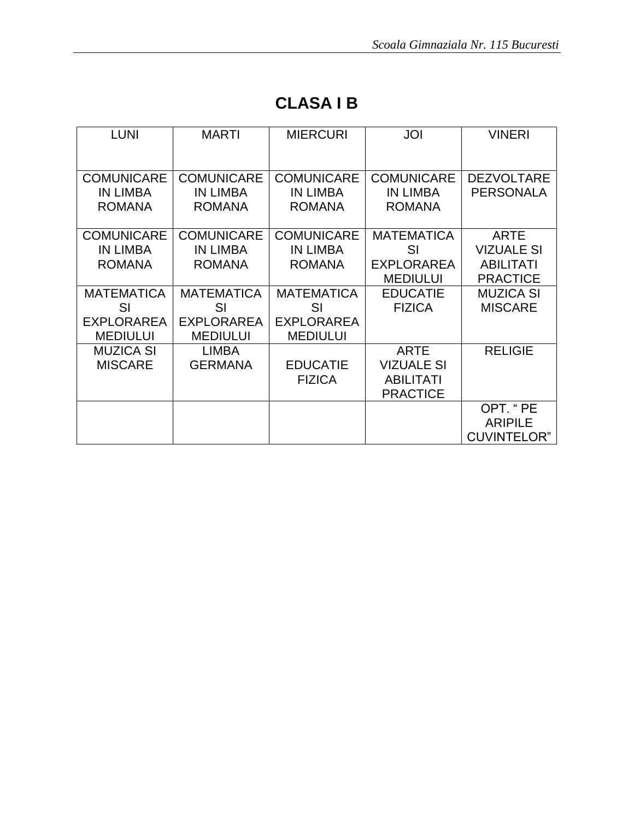| <b>LUNI</b>       | <b>MARTI</b>      | <b>MIERCURI</b>   | JOI               | <b>VINERI</b>      |
|-------------------|-------------------|-------------------|-------------------|--------------------|
|                   |                   |                   |                   |                    |
|                   |                   |                   |                   |                    |
| <b>COMUNICARE</b> | <b>COMUNICARE</b> | <b>COMUNICARE</b> | <b>COMUNICARE</b> | <b>DEZVOLTARE</b>  |
| <b>IN LIMBA</b>   | <b>IN LIMBA</b>   | <b>IN LIMBA</b>   | <b>IN LIMBA</b>   | <b>PERSONALA</b>   |
| <b>ROMANA</b>     | <b>ROMANA</b>     | <b>ROMANA</b>     | <b>ROMANA</b>     |                    |
|                   |                   |                   |                   |                    |
| <b>COMUNICARE</b> | <b>COMUNICARE</b> | <b>COMUNICARE</b> | <b>MATEMATICA</b> | <b>ARTE</b>        |
| <b>IN LIMBA</b>   | <b>IN LIMBA</b>   | <b>IN LIMBA</b>   | SI                | <b>VIZUALE SI</b>  |
| <b>ROMANA</b>     | <b>ROMANA</b>     | <b>ROMANA</b>     | <b>EXPLORAREA</b> | <b>ABILITATI</b>   |
|                   |                   |                   | <b>MEDIULUI</b>   | <b>PRACTICE</b>    |
| <b>MATEMATICA</b> | <b>MATEMATICA</b> | <b>MATEMATICA</b> | <b>EDUCATIE</b>   | <b>MUZICA SI</b>   |
| SI                | SI                | SI                | <b>FIZICA</b>     | <b>MISCARE</b>     |
| <b>EXPLORAREA</b> | <b>EXPLORAREA</b> | <b>EXPLORAREA</b> |                   |                    |
| <b>MEDIULUI</b>   | <b>MEDIULUI</b>   | <b>MEDIULUI</b>   |                   |                    |
| <b>MUZICA SI</b>  | <b>LIMBA</b>      |                   | <b>ARTE</b>       | <b>RELIGIE</b>     |
| <b>MISCARE</b>    | <b>GERMANA</b>    | <b>EDUCATIE</b>   | <b>VIZUALE SI</b> |                    |
|                   |                   | <b>FIZICA</b>     | <b>ABILITATI</b>  |                    |
|                   |                   |                   | <b>PRACTICE</b>   |                    |
|                   |                   |                   |                   | OPT. "PE           |
|                   |                   |                   |                   | <b>ARIPILE</b>     |
|                   |                   |                   |                   | <b>CUVINTELOR"</b> |

## **CLASA I B**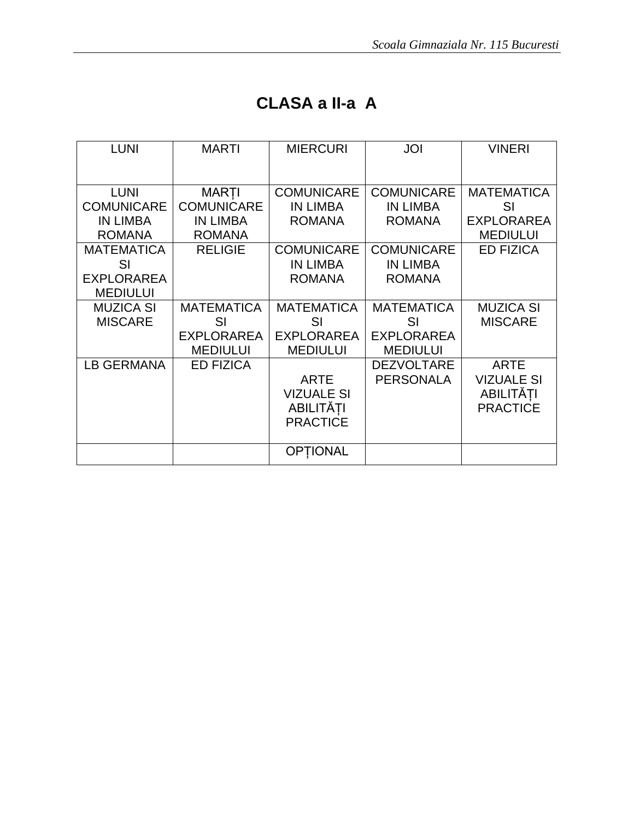## **CLASA a II-a A**

| <b>LUNI</b>       | <b>MARTI</b>      | <b>MIERCURI</b>   | JOI               | <b>VINERI</b>     |
|-------------------|-------------------|-------------------|-------------------|-------------------|
|                   |                   |                   |                   |                   |
| <b>LUNI</b>       | <b>MARTI</b>      | <b>COMUNICARE</b> | <b>COMUNICARE</b> | <b>MATEMATICA</b> |
| <b>COMUNICARE</b> | <b>COMUNICARE</b> | <b>IN LIMBA</b>   | <b>IN LIMBA</b>   | SI                |
| <b>IN LIMBA</b>   | <b>IN LIMBA</b>   | <b>ROMANA</b>     | <b>ROMANA</b>     | <b>EXPLORAREA</b> |
| <b>ROMANA</b>     | <b>ROMANA</b>     |                   |                   | <b>MEDIULUI</b>   |
| <b>MATEMATICA</b> | <b>RELIGIE</b>    | <b>COMUNICARE</b> | <b>COMUNICARE</b> | <b>ED FIZICA</b>  |
| SI                |                   | <b>IN LIMBA</b>   | <b>IN LIMBA</b>   |                   |
| <b>EXPLORAREA</b> |                   | <b>ROMANA</b>     | <b>ROMANA</b>     |                   |
| <b>MEDIULUI</b>   |                   |                   |                   |                   |
| <b>MUZICA SI</b>  | <b>MATEMATICA</b> | <b>MATEMATICA</b> | <b>MATEMATICA</b> | <b>MUZICA SI</b>  |
| <b>MISCARE</b>    | SI                | SI                | SI                | <b>MISCARE</b>    |
|                   | <b>EXPLORAREA</b> | <b>EXPLORAREA</b> | <b>EXPLORAREA</b> |                   |
|                   | <b>MEDIULUI</b>   | <b>MEDIULUI</b>   | <b>MEDIULUI</b>   |                   |
| <b>LB GERMANA</b> | <b>ED FIZICA</b>  |                   | <b>DEZVOLTARE</b> | <b>ARTE</b>       |
|                   |                   | <b>ARTE</b>       | <b>PERSONALA</b>  | <b>VIZUALE SI</b> |
|                   |                   | <b>VIZUALE SI</b> |                   | <b>ABILITĂTI</b>  |
|                   |                   | ABILITĂȚI         |                   | <b>PRACTICE</b>   |
|                   |                   | <b>PRACTICE</b>   |                   |                   |
|                   |                   |                   |                   |                   |
|                   |                   | OPTIONAL          |                   |                   |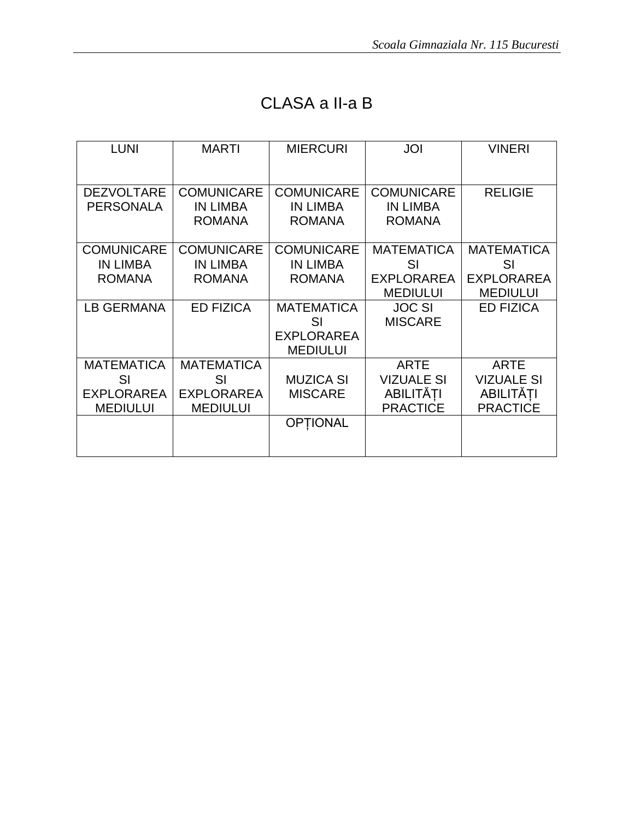### CLASA a II-a B

| <b>LUNI</b>       | <b>MARTI</b>                     | <b>MIERCURI</b>                  | <b>JOI</b>                       | <b>VINERI</b>     |
|-------------------|----------------------------------|----------------------------------|----------------------------------|-------------------|
|                   |                                  |                                  |                                  |                   |
| <b>DEZVOLTARE</b> | <b>COMUNICARE</b>                | <b>COMUNICARE</b>                | <b>COMUNICARE</b>                | <b>RELIGIE</b>    |
| <b>PERSONALA</b>  | <b>IN LIMBA</b><br><b>ROMANA</b> | <b>IN LIMBA</b><br><b>ROMANA</b> | <b>IN LIMBA</b><br><b>ROMANA</b> |                   |
|                   |                                  |                                  |                                  |                   |
| <b>COMUNICARE</b> | <b>COMUNICARE</b>                | <b>COMUNICARE</b>                | <b>MATEMATICA</b>                | <b>MATEMATICA</b> |
| <b>IN LIMBA</b>   | <b>IN LIMBA</b>                  | <b>IN LIMBA</b>                  | SI                               | <b>SI</b>         |
| <b>ROMANA</b>     | <b>ROMANA</b>                    | <b>ROMANA</b>                    | <b>EXPLORAREA</b>                | <b>EXPLORAREA</b> |
|                   |                                  |                                  | <b>MEDIULUI</b>                  | <b>MEDIULUI</b>   |
| LB GERMANA        | <b>ED FIZICA</b>                 | <b>MATEMATICA</b>                | <b>JOC SI</b>                    | <b>ED FIZICA</b>  |
|                   |                                  | SI                               | <b>MISCARE</b>                   |                   |
|                   |                                  | <b>EXPLORAREA</b>                |                                  |                   |
|                   |                                  | <b>MEDIULUI</b>                  |                                  |                   |
| <b>MATEMATICA</b> | <b>MATEMATICA</b>                |                                  | <b>ARTE</b>                      | <b>ARTE</b>       |
| SI                | SI                               | <b>MUZICA SI</b>                 | <b>VIZUALE SI</b>                | <b>VIZUALE SI</b> |
| <b>EXPLORAREA</b> | <b>EXPLORAREA</b>                | <b>MISCARE</b>                   | <b>ABILITĂTI</b>                 | <b>ABILITĂTI</b>  |
| <b>MEDIULUI</b>   | <b>MEDIULUI</b>                  |                                  | <b>PRACTICE</b>                  | <b>PRACTICE</b>   |
|                   |                                  | <b>OPTIONAL</b>                  |                                  |                   |
|                   |                                  |                                  |                                  |                   |
|                   |                                  |                                  |                                  |                   |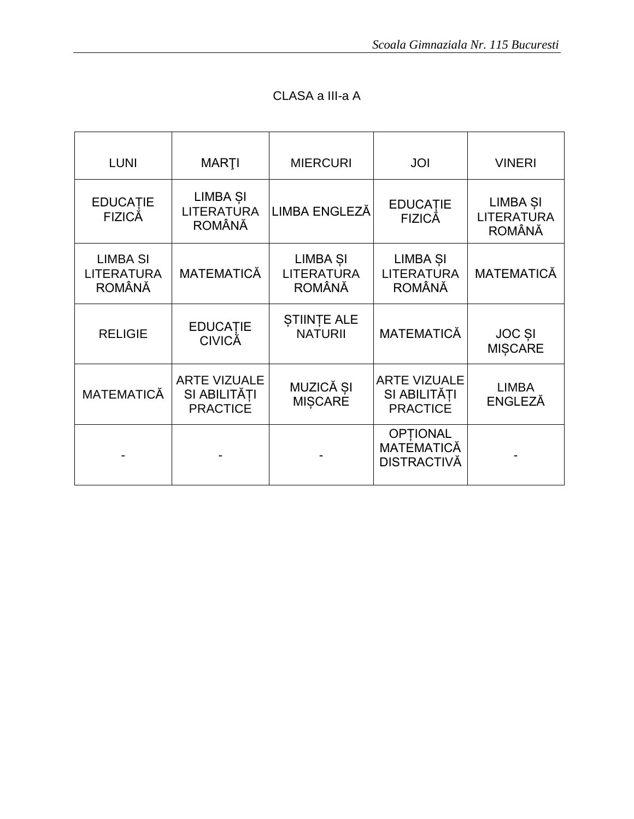| <b>LUNI</b>                                           | <b>MARTI</b>                                              | <b>MIERCURI</b>                                | JOI                                                       | <b>VINERI</b>                                  |
|-------------------------------------------------------|-----------------------------------------------------------|------------------------------------------------|-----------------------------------------------------------|------------------------------------------------|
| <b>EDUCATIE</b><br><b>FIZICÅ</b>                      | LIMBA <sub>SI</sub><br><b>LITERATURA</b><br><b>ROMÂNĂ</b> | LIMBA ENGLEZĂ                                  | <b>EDUCATIE</b><br><b>FIZICĂ</b>                          | LIMBA ȘI<br><b>LITERATURA</b><br><b>ROMÂNĂ</b> |
| <b>LIMBA SI</b><br><b>LITERATURA</b><br><b>ROMÂNĂ</b> | <b>MATEMATICĂ</b>                                         | LIMBA ȘI<br><b>LITERATURA</b><br><b>ROMÂNĂ</b> | LIMBA <sub>SI</sub><br><b>LITERATURA</b><br><b>ROMÂNĂ</b> | <b>MATEMATICĂ</b>                              |
| <b>RELIGIE</b>                                        | <b>EDUCATIE</b><br><b>CIVICĂ</b>                          | <b>STIINTE ALE</b><br><b>NATURII</b>           | <b>MATEMATICĂ</b>                                         | <b>JOC SI</b><br><b>MIȘCARE</b>                |
| <b>MATEMATICĂ</b>                                     | <b>ARTE VIZUALE</b><br>SI ABILITĂTI<br><b>PRACTICE</b>    | MUZICĂ ȘI<br>MIȘCARE                           | <b>ARTE VIZUALE</b><br>SI ABILITĂTI<br><b>PRACTICE</b>    | <b>LIMBA</b><br><b>ENGLEZĂ</b>                 |
|                                                       |                                                           |                                                | <b>OPTIONAL</b><br>MATÉMATICĂ<br>DISTRACTIVĂ              |                                                |

### CLASA a III-a A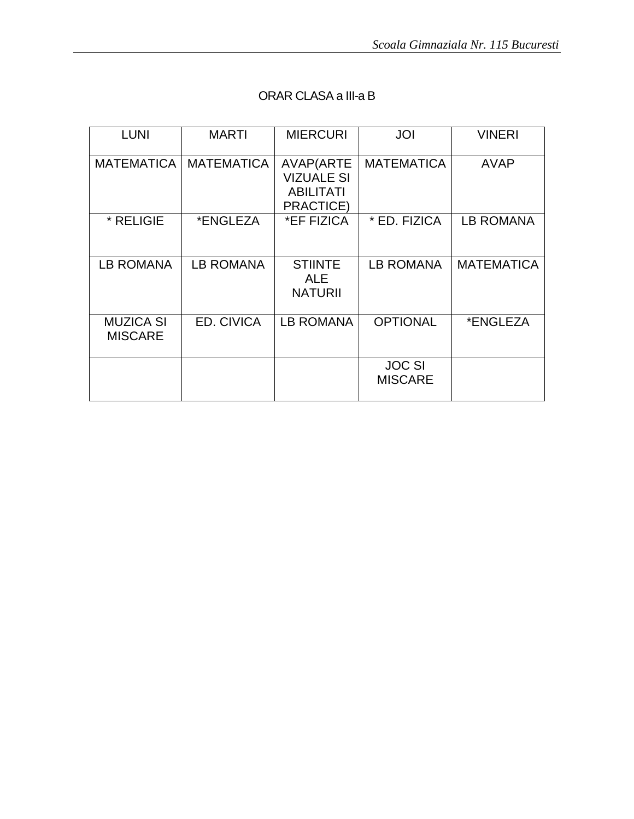| <b>LUNI</b>                        | <b>MARTI</b>            | <b>MIERCURI</b>                                                 | JOI                             | <b>VINERI</b>     |
|------------------------------------|-------------------------|-----------------------------------------------------------------|---------------------------------|-------------------|
|                                    | MATEMATICA   MATEMATICA | AVAP(ARTE<br><b>VIZUALE SI</b><br><b>ABILITATI</b><br>PRACTICE) | <b>MATEMATICA</b>               | <b>AVAP</b>       |
| * RELIGIE                          | *ENGLEZA                | *EF FIZICA                                                      | * ED. FIZICA                    | LB ROMANA         |
| <b>LB ROMANA</b>                   | LB ROMANA               | <b>STIINTE</b><br><b>ALE</b><br><b>NATURII</b>                  | LB ROMANA                       | <b>MATEMATICA</b> |
| <b>MUZICA SI</b><br><b>MISCARE</b> | ED. CIVICA              | LB ROMANA                                                       | <b>OPTIONAL</b>                 | *ENGLEZA          |
|                                    |                         |                                                                 | <b>JOC SI</b><br><b>MISCARE</b> |                   |

#### ORAR CLASA a III-a B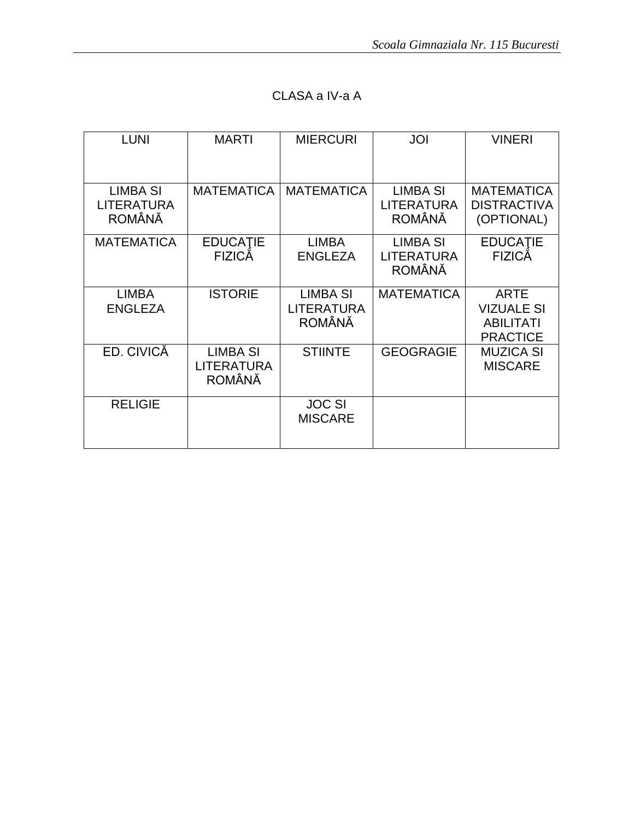| <b>LUNI</b>                                           | <b>MARTI</b>                                   | <b>MIERCURI</b>                                | JOI                                            | <b>VINERI</b>                                                           |
|-------------------------------------------------------|------------------------------------------------|------------------------------------------------|------------------------------------------------|-------------------------------------------------------------------------|
| <b>LIMBA SI</b><br><b>LITERATURA</b><br><b>ROMÂNĂ</b> | <b>MATEMATICA</b>                              | <b>MATEMATICA</b>                              | <b>LIMBA SI</b><br><b>LITERATURA</b><br>ROMÂNĂ | <b>MATEMATICA</b><br><b>DISTRACTIVA</b><br>(OPTIONAL)                   |
| <b>MATEMATICA</b>                                     | <b>EDUCATIE</b><br><b>FIZICĂ</b>               | <b>LIMBA</b><br><b>ENGLEZA</b>                 | <b>LIMBA SI</b><br><b>LITERATURA</b><br>ROMÂNĂ | <b>EDUCATIE</b><br><b>FIZICĂ</b>                                        |
| <b>LIMBA</b><br><b>ENGLEZA</b>                        | <b>ISTORIE</b>                                 | <b>LIMBA SI</b><br><b>LITERATURA</b><br>ROMÂNĂ | <b>MATEMATICA</b>                              | <b>ARTE</b><br><b>VIZUALE SI</b><br><b>ABILITATI</b><br><b>PRACTICE</b> |
| ED. CIVICĂ                                            | <b>LIMBA SI</b><br>LITERATURA<br><b>ROMÂNĂ</b> | <b>STIINTE</b>                                 | <b>GEOGRAGIE</b>                               | <b>MUZICA SI</b><br><b>MISCARE</b>                                      |
| <b>RELIGIE</b>                                        |                                                | <b>JOC SI</b><br><b>MISCARE</b>                |                                                |                                                                         |

### CLASA a IV-a A